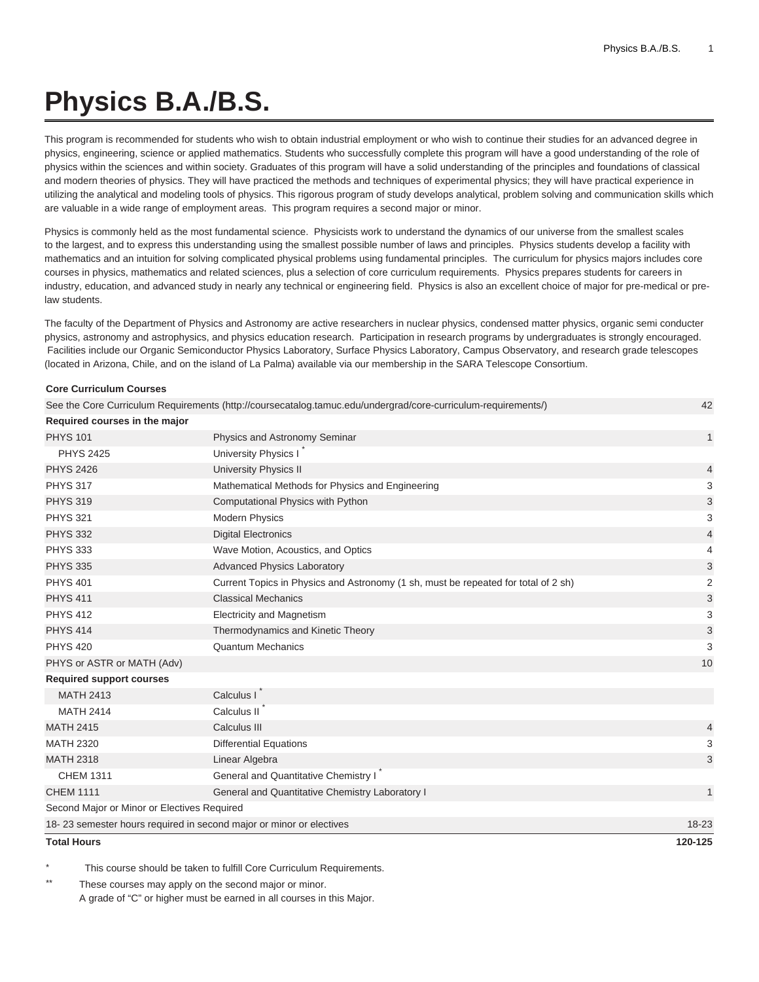## **Physics B.A./B.S.**

This program is recommended for students who wish to obtain industrial employment or who wish to continue their studies for an advanced degree in physics, engineering, science or applied mathematics. Students who successfully complete this program will have a good understanding of the role of physics within the sciences and within society. Graduates of this program will have a solid understanding of the principles and foundations of classical and modern theories of physics. They will have practiced the methods and techniques of experimental physics; they will have practical experience in utilizing the analytical and modeling tools of physics. This rigorous program of study develops analytical, problem solving and communication skills which are valuable in a wide range of employment areas. This program requires a second major or minor.

Physics is commonly held as the most fundamental science. Physicists work to understand the dynamics of our universe from the smallest scales to the largest, and to express this understanding using the smallest possible number of laws and principles. Physics students develop a facility with mathematics and an intuition for solving complicated physical problems using fundamental principles. The curriculum for physics majors includes core courses in physics, mathematics and related sciences, plus a selection of core curriculum requirements. Physics prepares students for careers in industry, education, and advanced study in nearly any technical or engineering field. Physics is also an excellent choice of major for pre-medical or prelaw students.

The faculty of the Department of Physics and Astronomy are active researchers in nuclear physics, condensed matter physics, organic semi conducter physics, astronomy and astrophysics, and physics education research. Participation in research programs by undergraduates is strongly encouraged. Facilities include our Organic Semiconductor Physics Laboratory, Surface Physics Laboratory, Campus Observatory, and research grade telescopes (located in Arizona, Chile, and on the island of La Palma) available via our membership in the SARA Telescope Consortium.

| <b>Core Curriculum Courses</b>                                      |                                                                                                               |                           |
|---------------------------------------------------------------------|---------------------------------------------------------------------------------------------------------------|---------------------------|
|                                                                     | See the Core Curriculum Requirements (http://coursecatalog.tamuc.edu/undergrad/core-curriculum-requirements/) | 42                        |
| Required courses in the major                                       |                                                                                                               |                           |
| <b>PHYS 101</b>                                                     | Physics and Astronomy Seminar                                                                                 | $\mathbf{1}$              |
| <b>PHYS 2425</b>                                                    | University Physics I                                                                                          |                           |
| <b>PHYS 2426</b>                                                    | <b>University Physics II</b>                                                                                  | 4                         |
| <b>PHYS 317</b>                                                     | Mathematical Methods for Physics and Engineering                                                              | 3                         |
| <b>PHYS 319</b>                                                     | Computational Physics with Python                                                                             | 3                         |
| <b>PHYS 321</b>                                                     | <b>Modern Physics</b>                                                                                         | 3                         |
| <b>PHYS 332</b>                                                     | <b>Digital Electronics</b>                                                                                    | 4                         |
| <b>PHYS 333</b>                                                     | Wave Motion, Acoustics, and Optics                                                                            | 4                         |
| <b>PHYS 335</b>                                                     | <b>Advanced Physics Laboratory</b>                                                                            | 3                         |
| <b>PHYS 401</b>                                                     | Current Topics in Physics and Astronomy (1 sh, must be repeated for total of 2 sh)                            | 2                         |
| <b>PHYS 411</b>                                                     | <b>Classical Mechanics</b>                                                                                    | 3                         |
| <b>PHYS 412</b>                                                     | <b>Electricity and Magnetism</b>                                                                              | 3                         |
| <b>PHYS 414</b>                                                     | Thermodynamics and Kinetic Theory                                                                             | $\ensuremath{\mathsf{3}}$ |
| <b>PHYS 420</b>                                                     | <b>Quantum Mechanics</b>                                                                                      | 3                         |
| PHYS or ASTR or MATH (Adv)                                          |                                                                                                               | 10                        |
| <b>Required support courses</b>                                     |                                                                                                               |                           |
| <b>MATH 2413</b>                                                    | Calculus I                                                                                                    |                           |
| <b>MATH 2414</b>                                                    | Calculus II                                                                                                   |                           |
| <b>MATH 2415</b>                                                    | Calculus III                                                                                                  | 4                         |
| <b>MATH 2320</b>                                                    | <b>Differential Equations</b>                                                                                 | 3                         |
| <b>MATH 2318</b>                                                    | Linear Algebra                                                                                                | 3                         |
| <b>CHEM 1311</b>                                                    | General and Quantitative Chemistry I                                                                          |                           |
| <b>CHEM 1111</b>                                                    | General and Quantitative Chemistry Laboratory I                                                               | 1                         |
| Second Major or Minor or Electives Required                         |                                                                                                               |                           |
| 18-23 semester hours required in second major or minor or electives |                                                                                                               | $18 - 23$                 |
| <b>Total Hours</b>                                                  |                                                                                                               | 120-125                   |
|                                                                     |                                                                                                               |                           |

This course should be taken to fulfill Core Curriculum Requirements.

These courses may apply on the second major or minor. A grade of "C" or higher must be earned in all courses in this Major.